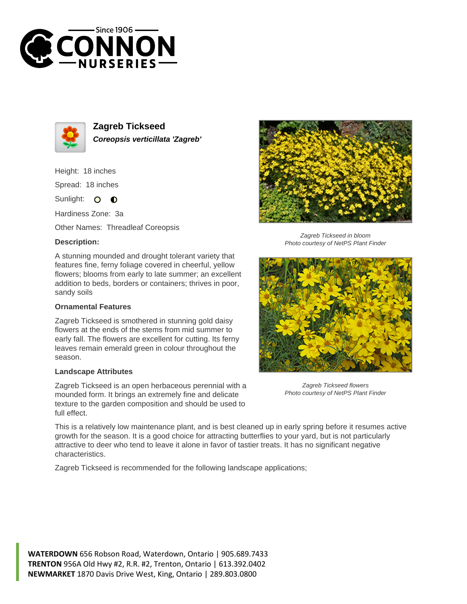



**Zagreb Tickseed Coreopsis verticillata 'Zagreb'**

Height: 18 inches

Spread: 18 inches

Sunlight: O  $\bullet$ 

Hardiness Zone: 3a

Other Names: Threadleaf Coreopsis

## **Description:**

A stunning mounded and drought tolerant variety that features fine, ferny foliage covered in cheerful, yellow flowers; blooms from early to late summer; an excellent addition to beds, borders or containers; thrives in poor, sandy soils

## **Ornamental Features**

Zagreb Tickseed is smothered in stunning gold daisy flowers at the ends of the stems from mid summer to early fall. The flowers are excellent for cutting. Its ferny leaves remain emerald green in colour throughout the season.

## **Landscape Attributes**

Zagreb Tickseed is an open herbaceous perennial with a mounded form. It brings an extremely fine and delicate texture to the garden composition and should be used to full effect.



Zagreb Tickseed in bloom Photo courtesy of NetPS Plant Finder



Zagreb Tickseed flowers Photo courtesy of NetPS Plant Finder

This is a relatively low maintenance plant, and is best cleaned up in early spring before it resumes active growth for the season. It is a good choice for attracting butterflies to your yard, but is not particularly attractive to deer who tend to leave it alone in favor of tastier treats. It has no significant negative characteristics.

Zagreb Tickseed is recommended for the following landscape applications;

**WATERDOWN** 656 Robson Road, Waterdown, Ontario | 905.689.7433 **TRENTON** 956A Old Hwy #2, R.R. #2, Trenton, Ontario | 613.392.0402 **NEWMARKET** 1870 Davis Drive West, King, Ontario | 289.803.0800